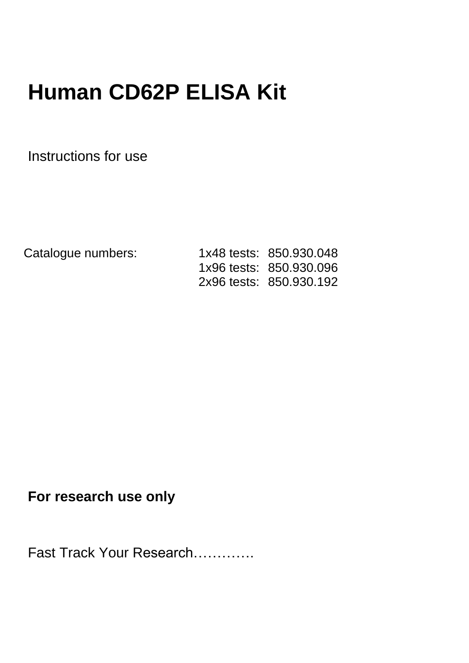# **Human CD62P ELISA Kit**

Instructions for use

Catalogue numbers: 1x48 tests: 850.930.048 1x96 tests: 850.930.096 2x96 tests: 850.930.192

# **For research use only**

Fast Track Your Research………….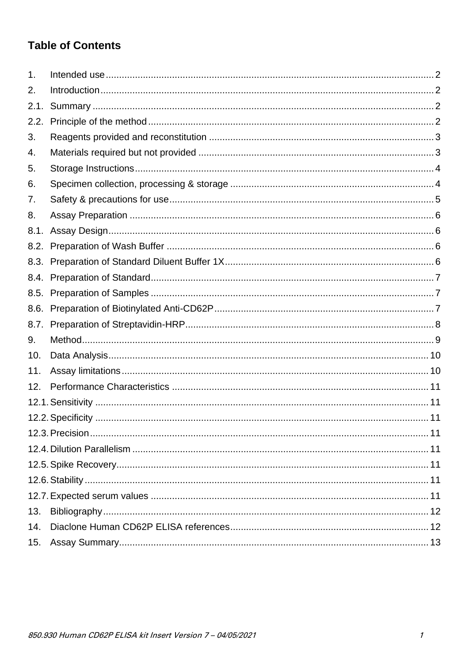# **Table of Contents**

| $\mathbf 1$ . |  |
|---------------|--|
| 2.            |  |
| 2.1.          |  |
| 2.2.          |  |
| 3.            |  |
| 4.            |  |
| 5.            |  |
| 6.            |  |
| 7.            |  |
| 8.            |  |
| 8.1.          |  |
| 8.2.          |  |
|               |  |
|               |  |
| 8.5.          |  |
| 8.6.          |  |
| 8.7.          |  |
| 9.            |  |
| 10.           |  |
| 11.           |  |
| 12.           |  |
|               |  |
|               |  |
|               |  |
|               |  |
|               |  |
|               |  |
|               |  |
| 13.           |  |
| 14.           |  |
| 15.           |  |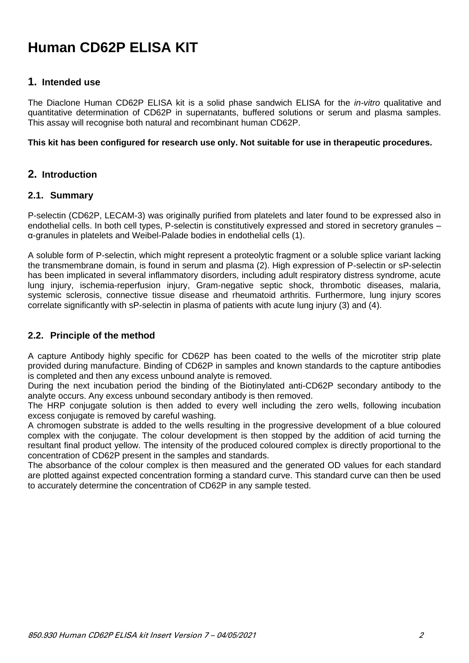# **Human CD62P ELISA KIT**

### <span id="page-2-0"></span>**1. Intended use**

The Diaclone Human CD62P ELISA kit is a solid phase sandwich ELISA for the *in-vitro* qualitative and quantitative determination of CD62P in supernatants, buffered solutions or serum and plasma samples. This assay will recognise both natural and recombinant human CD62P.

**This kit has been configured for research use only. Not suitable for use in therapeutic procedures.**

# <span id="page-2-1"></span>**2. Introduction**

#### <span id="page-2-2"></span>**2.1. Summary**

P-selectin (CD62P, LECAM-3) was originally purified from platelets and later found to be expressed also in endothelial cells. In both cell types, P-selectin is constitutively expressed and stored in secretory granules – α-granules in platelets and Weibel-Palade bodies in endothelial cells (1).

A soluble form of P-selectin, which might represent a proteolytic fragment or a soluble splice variant lacking the transmembrane domain, is found in serum and plasma (2). High expression of P-selectin or sP-selectin has been implicated in several inflammatory disorders, including adult respiratory distress syndrome, acute lung injury, ischemia-reperfusion injury, Gram-negative septic shock, thrombotic diseases, malaria, systemic sclerosis, connective tissue disease and rheumatoid arthritis. Furthermore, lung injury scores correlate significantly with sP-selectin in plasma of patients with acute lung injury (3) and (4).

# <span id="page-2-3"></span>**2.2. Principle of the method**

A capture Antibody highly specific for CD62P has been coated to the wells of the microtiter strip plate provided during manufacture. Binding of CD62P in samples and known standards to the capture antibodies is completed and then any excess unbound analyte is removed.

During the next incubation period the binding of the Biotinylated anti-CD62P secondary antibody to the analyte occurs. Any excess unbound secondary antibody is then removed.

The HRP conjugate solution is then added to every well including the zero wells, following incubation excess conjugate is removed by careful washing.

A chromogen substrate is added to the wells resulting in the progressive development of a blue coloured complex with the conjugate. The colour development is then stopped by the addition of acid turning the resultant final product yellow. The intensity of the produced coloured complex is directly proportional to the concentration of CD62P present in the samples and standards.

The absorbance of the colour complex is then measured and the generated OD values for each standard are plotted against expected concentration forming a standard curve. This standard curve can then be used to accurately determine the concentration of CD62P in any sample tested.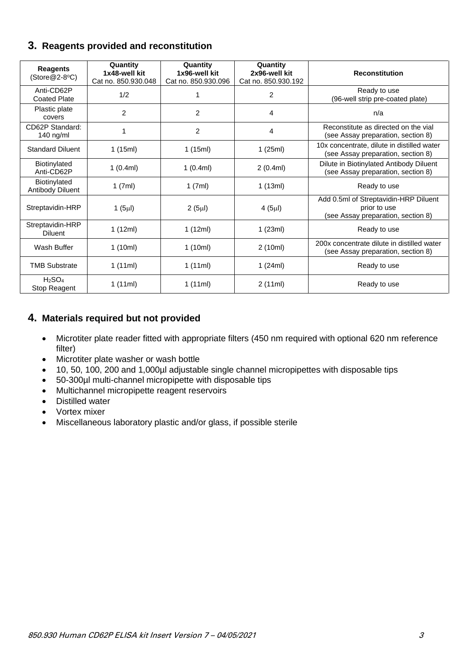# <span id="page-3-0"></span>**3. Reagents provided and reconstitution**

| <b>Reagents</b><br>$(Store@2-8°C)$ | Quantity<br>1x48-well kit<br>Cat no. 850.930.048 | Quantity<br>1x96-well kit<br>Cat no. 850,930,096 | Quantity<br>2x96-well kit<br>Cat no. 850.930.192 | <b>Reconstitution</b>                                                                       |  |
|------------------------------------|--------------------------------------------------|--------------------------------------------------|--------------------------------------------------|---------------------------------------------------------------------------------------------|--|
| Anti-CD62P<br><b>Coated Plate</b>  | 1/2                                              |                                                  | $\overline{2}$                                   | Ready to use<br>(96-well strip pre-coated plate)                                            |  |
| Plastic plate<br>covers            | $\overline{2}$                                   | $\overline{2}$                                   | 4                                                | n/a                                                                                         |  |
| CD62P Standard:<br>140 ng/ml       | 1                                                | $\overline{c}$                                   | 4                                                | Reconstitute as directed on the vial<br>(see Assay preparation, section 8)                  |  |
| <b>Standard Diluent</b>            | 1(15ml)                                          | 1(15ml)                                          | 1(25ml)                                          | 10x concentrate, dilute in distilled water<br>(see Assay preparation, section 8)            |  |
| Biotinylated<br>Anti-CD62P         | 1(0.4ml)                                         | 1(0.4ml)                                         | 2(0.4ml)                                         | Dilute in Biotinylated Antibody Diluent<br>(see Assay preparation, section 8)               |  |
| Biotinylated<br>Antibody Diluent   | 1(7ml)                                           | 1(7ml)                                           | 1(13ml)                                          | Ready to use                                                                                |  |
| Streptavidin-HRP                   | 1 $(5µ)$                                         | $2(5\mu l)$                                      | 4(5µ)                                            | Add 0.5ml of Streptavidin-HRP Diluent<br>prior to use<br>(see Assay preparation, section 8) |  |
| Streptavidin-HRP<br><b>Diluent</b> | 1 $(12ml)$                                       | 1 $(12ml)$                                       | 1(23ml)                                          | Ready to use                                                                                |  |
| Wash Buffer                        | 1(10ml)                                          | 1(10ml)                                          | 2(10ml)                                          | 200x concentrate dilute in distilled water<br>(see Assay preparation, section 8)            |  |
| <b>TMB Substrate</b>               | 1(11ml)                                          | 1(11ml)                                          | 1(24ml)                                          | Ready to use                                                                                |  |
| $H_2SO_4$<br>Stop Reagent          | 1(11ml)                                          | 1(11ml)                                          | 2(11ml)                                          | Ready to use                                                                                |  |

# <span id="page-3-1"></span>**4. Materials required but not provided**

- Microtiter plate reader fitted with appropriate filters (450 nm required with optional 620 nm reference filter)
- Microtiter plate washer or wash bottle
- 10, 50, 100, 200 and 1,000µl adjustable single channel micropipettes with disposable tips
- 50-300µl multi-channel micropipette with disposable tips
- Multichannel micropipette reagent reservoirs
- Distilled water
- Vortex mixer
- Miscellaneous laboratory plastic and/or glass, if possible sterile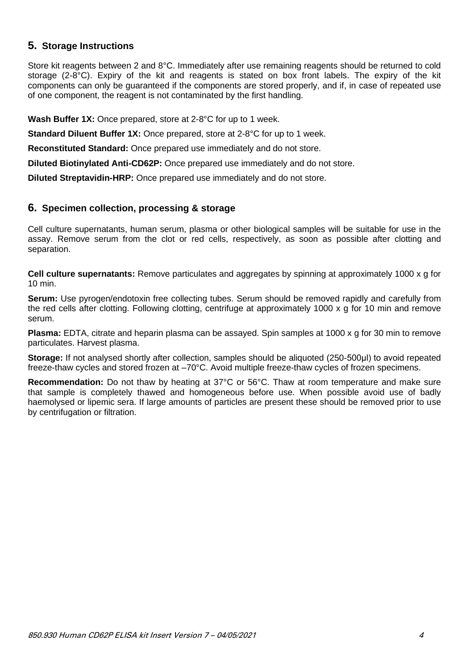# <span id="page-4-0"></span>**5. Storage Instructions**

Store kit reagents between 2 and 8°C. Immediately after use remaining reagents should be returned to cold storage (2-8°C). Expiry of the kit and reagents is stated on box front labels. The expiry of the kit components can only be guaranteed if the components are stored properly, and if, in case of repeated use of one component, the reagent is not contaminated by the first handling.

**Wash Buffer 1X:** Once prepared, store at 2-8°C for up to 1 week.

**Standard Diluent Buffer 1X:** Once prepared, store at 2-8°C for up to 1 week.

**Reconstituted Standard:** Once prepared use immediately and do not store.

**Diluted Biotinylated Anti-CD62P:** Once prepared use immediately and do not store.

**Diluted Streptavidin-HRP:** Once prepared use immediately and do not store.

#### <span id="page-4-1"></span>**6. Specimen collection, processing & storage**

Cell culture supernatants, human serum, plasma or other biological samples will be suitable for use in the assay. Remove serum from the clot or red cells, respectively, as soon as possible after clotting and separation.

**Cell culture supernatants:** Remove particulates and aggregates by spinning at approximately 1000 x g for 10 min.

**Serum:** Use pyrogen/endotoxin free collecting tubes. Serum should be removed rapidly and carefully from the red cells after clotting. Following clotting, centrifuge at approximately 1000 x g for 10 min and remove serum.

**Plasma:** EDTA, citrate and heparin plasma can be assayed. Spin samples at 1000 x g for 30 min to remove particulates. Harvest plasma.

**Storage:** If not analysed shortly after collection, samples should be aliquoted (250-500μl) to avoid repeated freeze-thaw cycles and stored frozen at –70°C. Avoid multiple freeze-thaw cycles of frozen specimens.

**Recommendation:** Do not thaw by heating at 37°C or 56°C. Thaw at room temperature and make sure that sample is completely thawed and homogeneous before use. When possible avoid use of badly haemolysed or lipemic sera. If large amounts of particles are present these should be removed prior to use by centrifugation or filtration.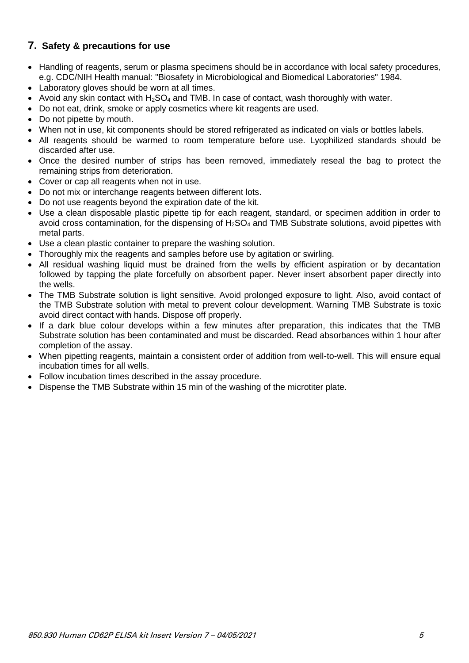# <span id="page-5-0"></span>**7. Safety & precautions for use**

- Handling of reagents, serum or plasma specimens should be in accordance with local safety procedures, e.g. CDC/NIH Health manual: "Biosafety in Microbiological and Biomedical Laboratories" 1984.
- Laboratory gloves should be worn at all times.
- Avoid any skin contact with  $H_2SO_4$  and TMB. In case of contact, wash thoroughly with water.
- Do not eat, drink, smoke or apply cosmetics where kit reagents are used.
- Do not pipette by mouth.
- When not in use, kit components should be stored refrigerated as indicated on vials or bottles labels.
- All reagents should be warmed to room temperature before use. Lyophilized standards should be discarded after use.
- Once the desired number of strips has been removed, immediately reseal the bag to protect the remaining strips from deterioration.
- Cover or cap all reagents when not in use.
- Do not mix or interchange reagents between different lots.
- Do not use reagents beyond the expiration date of the kit.
- Use a clean disposable plastic pipette tip for each reagent, standard, or specimen addition in order to avoid cross contamination, for the dispensing of  $H_2SO_4$  and TMB Substrate solutions, avoid pipettes with metal parts.
- Use a clean plastic container to prepare the washing solution.
- Thoroughly mix the reagents and samples before use by agitation or swirling.
- All residual washing liquid must be drained from the wells by efficient aspiration or by decantation followed by tapping the plate forcefully on absorbent paper. Never insert absorbent paper directly into the wells.
- The TMB Substrate solution is light sensitive. Avoid prolonged exposure to light. Also, avoid contact of the TMB Substrate solution with metal to prevent colour development. Warning TMB Substrate is toxic avoid direct contact with hands. Dispose off properly.
- If a dark blue colour develops within a few minutes after preparation, this indicates that the TMB Substrate solution has been contaminated and must be discarded. Read absorbances within 1 hour after completion of the assay.
- When pipetting reagents, maintain a consistent order of addition from well-to-well. This will ensure equal incubation times for all wells.
- Follow incubation times described in the assay procedure.
- Dispense the TMB Substrate within 15 min of the washing of the microtiter plate.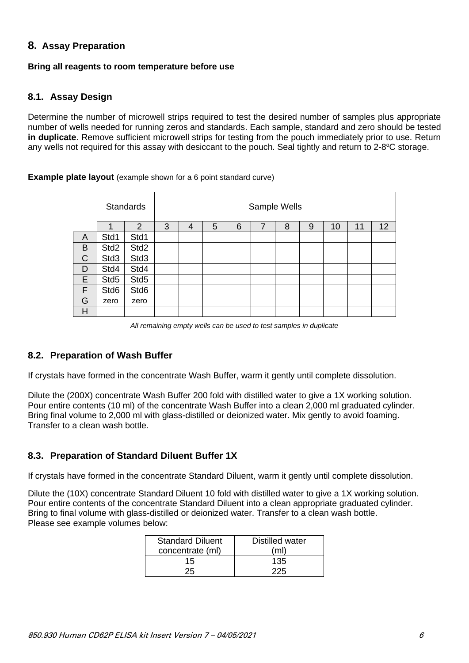## <span id="page-6-0"></span>**8. Assay Preparation**

#### **Bring all reagents to room temperature before use**

#### <span id="page-6-1"></span>**8.1. Assay Design**

Determine the number of microwell strips required to test the desired number of samples plus appropriate number of wells needed for running zeros and standards. Each sample, standard and zero should be tested **in duplicate**. Remove sufficient microwell strips for testing from the pouch immediately prior to use. Return any wells not required for this assay with desiccant to the pouch. Seal tightly and return to 2-8°C storage.

#### **Example plate layout** (example shown for a 6 point standard curve)

|   | <b>Standards</b> |                  | Sample Wells |   |   |   |                |   |   |    |    |    |
|---|------------------|------------------|--------------|---|---|---|----------------|---|---|----|----|----|
|   |                  | $\overline{2}$   | 3            | 4 | 5 | 6 | $\overline{7}$ | 8 | 9 | 10 | 11 | 12 |
| A | Std1             | Std1             |              |   |   |   |                |   |   |    |    |    |
| B | Std <sub>2</sub> | Std <sub>2</sub> |              |   |   |   |                |   |   |    |    |    |
| C | Std <sub>3</sub> | Std <sub>3</sub> |              |   |   |   |                |   |   |    |    |    |
| D | Std4             | Std4             |              |   |   |   |                |   |   |    |    |    |
| E | Std5             | Std5             |              |   |   |   |                |   |   |    |    |    |
| F | Std6             | Std6             |              |   |   |   |                |   |   |    |    |    |
| G | zero             | zero             |              |   |   |   |                |   |   |    |    |    |
| Η |                  |                  |              |   |   |   |                |   |   |    |    |    |

*All remaining empty wells can be used to test samples in duplicate*

#### <span id="page-6-2"></span>**8.2. Preparation of Wash Buffer**

If crystals have formed in the concentrate Wash Buffer, warm it gently until complete dissolution.

Dilute the (200X) concentrate Wash Buffer 200 fold with distilled water to give a 1X working solution. Pour entire contents (10 ml) of the concentrate Wash Buffer into a clean 2,000 ml graduated cylinder. Bring final volume to 2,000 ml with glass-distilled or deionized water. Mix gently to avoid foaming. Transfer to a clean wash bottle.

#### <span id="page-6-3"></span>**8.3. Preparation of Standard Diluent Buffer 1X**

If crystals have formed in the concentrate Standard Diluent, warm it gently until complete dissolution.

Dilute the (10X) concentrate Standard Diluent 10 fold with distilled water to give a 1X working solution. Pour entire contents of the concentrate Standard Diluent into a clean appropriate graduated cylinder. Bring to final volume with glass-distilled or deionized water. Transfer to a clean wash bottle. Please see example volumes below:

| <b>Standard Diluent</b> | Distilled water |
|-------------------------|-----------------|
| concentrate (ml)        | (ml)            |
| 15                      | 135             |
|                         |                 |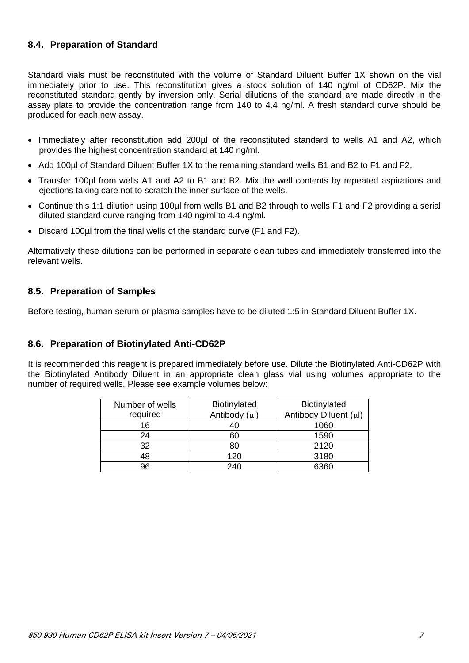## <span id="page-7-0"></span>**8.4. Preparation of Standard**

Standard vials must be reconstituted with the volume of Standard Diluent Buffer 1X shown on the vial immediately prior to use. This reconstitution gives a stock solution of 140 ng/ml of CD62P. Mix the reconstituted standard gently by inversion only. Serial dilutions of the standard are made directly in the assay plate to provide the concentration range from 140 to 4.4 ng/ml. A fresh standard curve should be produced for each new assay.

- Immediately after reconstitution add 200µl of the reconstituted standard to wells A1 and A2, which provides the highest concentration standard at 140 ng/ml.
- Add 100µl of Standard Diluent Buffer 1X to the remaining standard wells B1 and B2 to F1 and F2.
- Transfer 100µl from wells A1 and A2 to B1 and B2. Mix the well contents by repeated aspirations and ejections taking care not to scratch the inner surface of the wells.
- Continue this 1:1 dilution using 100µl from wells B1 and B2 through to wells F1 and F2 providing a serial diluted standard curve ranging from 140 ng/ml to 4.4 ng/ml.
- Discard 100µl from the final wells of the standard curve (F1 and F2).

Alternatively these dilutions can be performed in separate clean tubes and immediately transferred into the relevant wells.

#### <span id="page-7-1"></span>**8.5. Preparation of Samples**

Before testing, human serum or plasma samples have to be diluted 1:5 in Standard Diluent Buffer 1X.

#### <span id="page-7-2"></span>**8.6. Preparation of Biotinylated Anti-CD62P**

It is recommended this reagent is prepared immediately before use. Dilute the Biotinylated Anti-CD62P with the Biotinylated Antibody Diluent in an appropriate clean glass vial using volumes appropriate to the number of required wells. Please see example volumes below:

| Number of wells | Biotinylated  | Biotinylated          |
|-----------------|---------------|-----------------------|
| required        | Antibody (µl) | Antibody Diluent (µl) |
| 16              |               | 1060                  |
| 24              | 60            | 1590                  |
| 32              | 80            | 2120                  |
| 48              | 120           | 3180                  |
| 96              | 240           | 6360                  |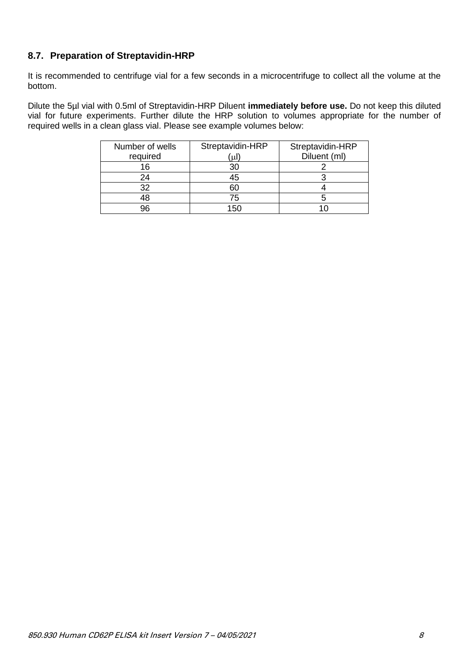# <span id="page-8-0"></span>**8.7. Preparation of Streptavidin-HRP**

It is recommended to centrifuge vial for a few seconds in a microcentrifuge to collect all the volume at the bottom.

Dilute the 5µl vial with 0.5ml of Streptavidin-HRP Diluent **immediately before use.** Do not keep this diluted vial for future experiments. Further dilute the HRP solution to volumes appropriate for the number of required wells in a clean glass vial. Please see example volumes below:

| Number of wells | Streptavidin-HRP | Streptavidin-HRP |
|-----------------|------------------|------------------|
| required        | ΄uΙ              | Diluent (ml)     |
| 16              | 30               |                  |
| 24              | 45               |                  |
| 32              | 60               |                  |
| 48              | 75               |                  |
| วค              | 150              |                  |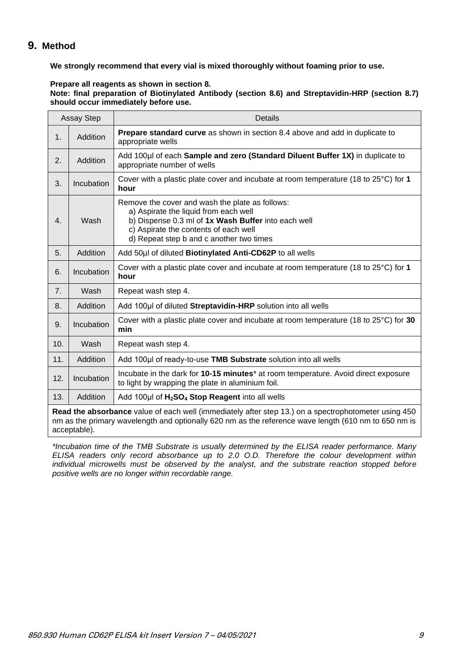#### <span id="page-9-0"></span>**9. Method**

**We strongly recommend that every vial is mixed thoroughly without foaming prior to use.**

**Prepare all reagents as shown in section 8.**

**Note: final preparation of Biotinylated Antibody (section 8.6) and Streptavidin-HRP (section 8.7) should occur immediately before use.**

| <b>Assay Step</b>                                                                                                                                                                                            |            | Details                                                                                                                                                                                                                              |  |  |  |  |  |  |
|--------------------------------------------------------------------------------------------------------------------------------------------------------------------------------------------------------------|------------|--------------------------------------------------------------------------------------------------------------------------------------------------------------------------------------------------------------------------------------|--|--|--|--|--|--|
| 1.                                                                                                                                                                                                           | Addition   | <b>Prepare standard curve</b> as shown in section 8.4 above and add in duplicate to<br>appropriate wells                                                                                                                             |  |  |  |  |  |  |
| 2.                                                                                                                                                                                                           | Addition   | Add 100µl of each Sample and zero (Standard Diluent Buffer 1X) in duplicate to<br>appropriate number of wells                                                                                                                        |  |  |  |  |  |  |
| 3.                                                                                                                                                                                                           | Incubation | Cover with a plastic plate cover and incubate at room temperature (18 to 25°C) for 1<br>hour                                                                                                                                         |  |  |  |  |  |  |
| 4.                                                                                                                                                                                                           | Wash       | Remove the cover and wash the plate as follows:<br>a) Aspirate the liquid from each well<br>b) Dispense 0.3 ml of 1x Wash Buffer into each well<br>c) Aspirate the contents of each well<br>d) Repeat step b and c another two times |  |  |  |  |  |  |
| 5.                                                                                                                                                                                                           | Addition   | Add 50µl of diluted Biotinylated Anti-CD62P to all wells                                                                                                                                                                             |  |  |  |  |  |  |
| 6.                                                                                                                                                                                                           | Incubation | Cover with a plastic plate cover and incubate at room temperature (18 to 25°C) for 1<br>hour                                                                                                                                         |  |  |  |  |  |  |
| 7.                                                                                                                                                                                                           | Wash       | Repeat wash step 4.                                                                                                                                                                                                                  |  |  |  |  |  |  |
| 8.                                                                                                                                                                                                           | Addition   | Add 100µl of diluted Streptavidin-HRP solution into all wells                                                                                                                                                                        |  |  |  |  |  |  |
| 9.                                                                                                                                                                                                           | Incubation | Cover with a plastic plate cover and incubate at room temperature (18 to $25^{\circ}$ C) for 30<br>min                                                                                                                               |  |  |  |  |  |  |
| 10.                                                                                                                                                                                                          | Wash       | Repeat wash step 4.                                                                                                                                                                                                                  |  |  |  |  |  |  |
| 11.                                                                                                                                                                                                          | Addition   | Add 100µl of ready-to-use TMB Substrate solution into all wells                                                                                                                                                                      |  |  |  |  |  |  |
| 12.                                                                                                                                                                                                          | Incubation | Incubate in the dark for 10-15 minutes <sup>*</sup> at room temperature. Avoid direct exposure<br>to light by wrapping the plate in aluminium foil.                                                                                  |  |  |  |  |  |  |
| 13.                                                                                                                                                                                                          | Addition   | Add 100µl of H <sub>2</sub> SO <sub>4</sub> Stop Reagent into all wells                                                                                                                                                              |  |  |  |  |  |  |
| Read the absorbance value of each well (immediately after step 13.) on a spectrophotometer using 450<br>am as the primary wavelength and optionally 620 nm as the reference wave length (610 nm to 650 nm is |            |                                                                                                                                                                                                                                      |  |  |  |  |  |  |

nm as the primary wavelength and optionally 620 nm as the reference wave length (610 nm to 650 nm is acceptable).

*\*Incubation time of the TMB Substrate is usually determined by the ELISA reader performance. Many ELISA readers only record absorbance up to 2.0 O.D. Therefore the colour development within individual microwells must be observed by the analyst, and the substrate reaction stopped before positive wells are no longer within recordable range.*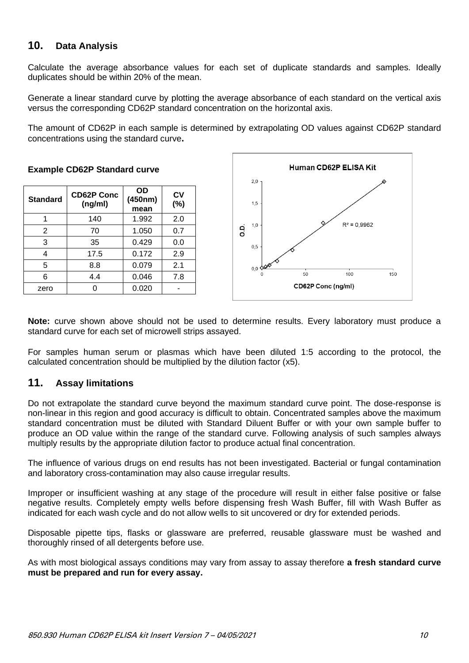# <span id="page-10-0"></span>**10. Data Analysis**

Calculate the average absorbance values for each set of duplicate standards and samples. Ideally duplicates should be within 20% of the mean.

Generate a linear standard curve by plotting the average absorbance of each standard on the vertical axis versus the corresponding CD62P standard concentration on the horizontal axis.

The amount of CD62P in each sample is determined by extrapolating OD values against CD62P standard concentrations using the standard curve**.**

**Standard CD62P Conc (ng/ml) OD (450nm) mean CV (%)** 1 140 1.992 2.0 2 70 1.050 0.7 3 35 0.429 0.0 4 17.5 0.172 2.9 5 8.8 0.079 2.1 6 4.4 0.046 7.8 zero 0 0.020 -

**Example CD62P Standard curve** 



**Note:** curve shown above should not be used to determine results. Every laboratory must produce a standard curve for each set of microwell strips assayed.

For samples human serum or plasmas which have been diluted 1:5 according to the protocol, the calculated concentration should be multiplied by the dilution factor (x5).

# <span id="page-10-1"></span>**11. Assay limitations**

Do not extrapolate the standard curve beyond the maximum standard curve point. The dose-response is non-linear in this region and good accuracy is difficult to obtain. Concentrated samples above the maximum standard concentration must be diluted with Standard Diluent Buffer or with your own sample buffer to produce an OD value within the range of the standard curve. Following analysis of such samples always multiply results by the appropriate dilution factor to produce actual final concentration.

The influence of various drugs on end results has not been investigated. Bacterial or fungal contamination and laboratory cross-contamination may also cause irregular results.

Improper or insufficient washing at any stage of the procedure will result in either false positive or false negative results. Completely empty wells before dispensing fresh Wash Buffer, fill with Wash Buffer as indicated for each wash cycle and do not allow wells to sit uncovered or dry for extended periods.

Disposable pipette tips, flasks or glassware are preferred, reusable glassware must be washed and thoroughly rinsed of all detergents before use.

As with most biological assays conditions may vary from assay to assay therefore **a fresh standard curve must be prepared and run for every assay.**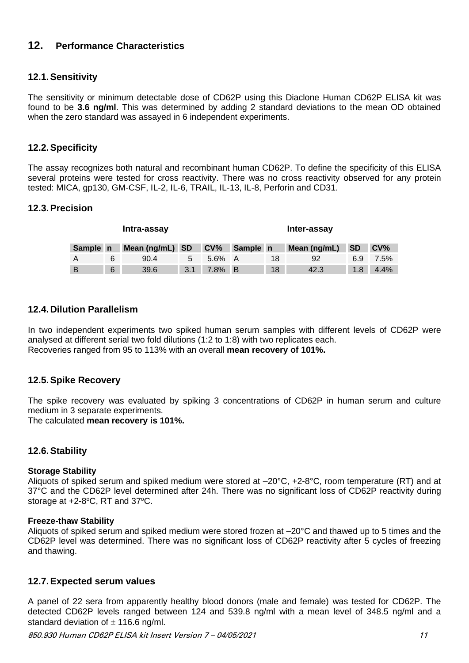# <span id="page-11-0"></span>**12. Performance Characteristics**

#### <span id="page-11-1"></span>**12.1.Sensitivity**

The sensitivity or minimum detectable dose of CD62P using this Diaclone Human CD62P ELISA kit was found to be **3.6 ng/ml**. This was determined by adding 2 standard deviations to the mean OD obtained when the zero standard was assayed in 6 independent experiments.

#### <span id="page-11-2"></span>**12.2.Specificity**

The assay recognizes both natural and recombinant human CD62P. To define the specificity of this ELISA several proteins were tested for cross reactivity. There was no cross reactivity observed for any protein tested: MICA, gp130, GM-CSF, IL-2, IL-6, TRAIL, IL-13, IL-8, Perforin and CD31.

#### <span id="page-11-3"></span>**12.3.Precision**

| Intra-assay |   |                 |     |            |          |    | Inter-assay  |           |         |
|-------------|---|-----------------|-----|------------|----------|----|--------------|-----------|---------|
| Sample n    |   | Mean (ng/mL) SD |     | <b>CV%</b> | Sample n |    | Mean (ng/mL) | <b>SD</b> | $CV\%$  |
|             | 6 | 90.4            | 5   | 5.6% A     |          | 18 | -92          | 6.9       | $7.5\%$ |
| B           | 6 | 39.6            | 3.1 | 7.8% B     |          | 18 | 42.3         | 1.8       | $4.4\%$ |

#### <span id="page-11-4"></span>**12.4.Dilution Parallelism**

In two independent experiments two spiked human serum samples with different levels of CD62P were analysed at different serial two fold dilutions (1:2 to 1:8) with two replicates each. Recoveries ranged from 95 to 113% with an overall **mean recovery of 101%.**

#### <span id="page-11-5"></span>**12.5.Spike Recovery**

The spike recovery was evaluated by spiking 3 concentrations of CD62P in human serum and culture medium in 3 separate experiments.

The calculated **mean recovery is 101%.**

#### <span id="page-11-6"></span>**12.6.Stability**

#### **Storage Stability**

Aliquots of spiked serum and spiked medium were stored at –20°C, +2-8°C, room temperature (RT) and at 37°C and the CD62P level determined after 24h. There was no significant loss of CD62P reactivity during storage at  $+2-8$ °C, RT and 37°C.

#### **Freeze-thaw Stability**

Aliquots of spiked serum and spiked medium were stored frozen at –20°C and thawed up to 5 times and the CD62P level was determined. There was no significant loss of CD62P reactivity after 5 cycles of freezing and thawing.

#### <span id="page-11-7"></span>**12.7.Expected serum values**

A panel of 22 sera from apparently healthy blood donors (male and female) was tested for CD62P. The detected CD62P levels ranged between 124 and 539.8 ng/ml with a mean level of 348.5 ng/ml and a standard deviation of  $\pm$  116.6 ng/ml.

850.930 Human CD62P ELISA kit Insert Version 7 – 04/05/2021 11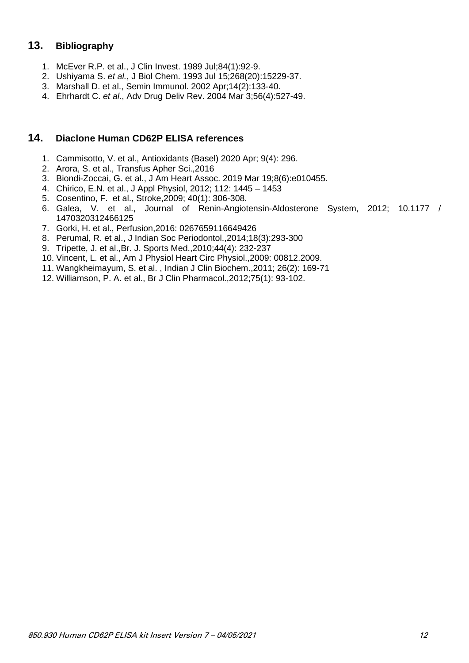# <span id="page-12-0"></span>**13. Bibliography**

- 1. McEver R.P. et al., J Clin Invest. 1989 Jul;84(1):92-9.
- 2. Ushiyama S. *et al.*, J Biol Chem. 1993 Jul 15;268(20):15229-37.
- 3. Marshall D. et al., Semin Immunol. 2002 Apr;14(2):133-40.
- 4. Ehrhardt C. *et al.*, Adv Drug Deliv Rev. 2004 Mar 3;56(4):527-49.

#### <span id="page-12-1"></span>**14. Diaclone Human CD62P ELISA references**

- 1. Cammisotto, V. et al., Antioxidants (Basel) 2020 Apr; 9(4): 296.
- 2. Arora, S. et al., Transfus Apher Sci.,2016
- 3. Biondi-Zoccai, G. et al., J Am Heart Assoc. 2019 Mar 19;8(6):e010455.
- 4. Chirico, E.N. et al., J Appl Physiol, 2012; 112: 1445 1453
- 5. Cosentino, F. et al., Stroke,2009; 40(1): 306-308.
- 6. Galea, V. et al., Journal of Renin-Angiotensin-Aldosterone System, 2012; 10.1177 / 1470320312466125
- 7. Gorki, H. et al., Perfusion,2016: 0267659116649426
- 8. Perumal, R. et al., J Indian Soc Periodontol.,2014;18(3):293-300
- 9. Tripette, J. et al.,Br. J. Sports Med.,2010;44(4): 232-237
- 10. Vincent, L. et al., Am J Physiol Heart Circ Physiol.,2009: 00812.2009.
- 11. Wangkheimayum, S. et al. , Indian J Clin Biochem.,2011; 26(2): 169-71
- 12. Williamson, P. A. et al., Br J Clin Pharmacol.,2012;75(1): 93-102.